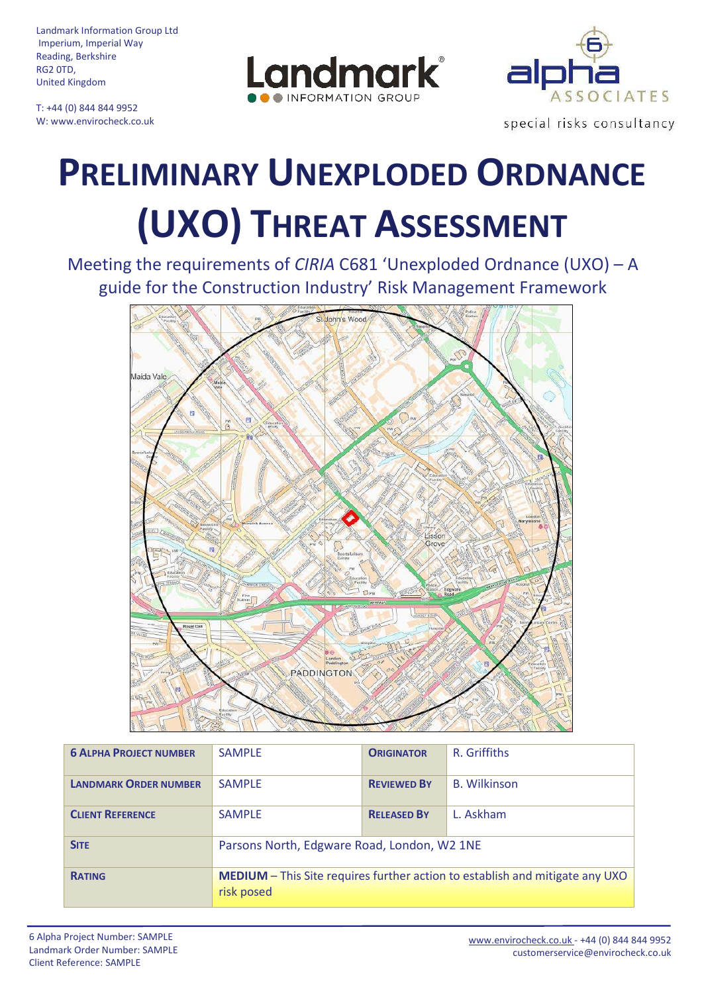Landmark Information Group Ltd Imperium, Imperial Way Reading, Berkshire RG2 0TD, United Kingdom

T: +44 (0) 844 844 9952 W: www.envirocheck.co.uk





# **PRELIMINARY UNEXPLODED ORDNANCE (UXO) THREAT ASSESSMENT**

Meeting the requirements of *CIRIA* C681 'Unexploded Ordnance (UXO) – A guide for the Construction Industry' Risk Management Framework



| <b>6 ALPHA PROJECT NUMBER</b> | <b>SAMPLE</b>                                                                              | <b>ORIGINATOR</b>  | R. Griffiths        |
|-------------------------------|--------------------------------------------------------------------------------------------|--------------------|---------------------|
| <b>LANDMARK ORDER NUMBER</b>  | <b>SAMPLE</b>                                                                              | <b>REVIEWED BY</b> | <b>B.</b> Wilkinson |
| <b>CLIENT REFERENCE</b>       | <b>SAMPLE</b>                                                                              | <b>RELEASED BY</b> | L. Askham           |
| <b>SITE</b>                   | Parsons North, Edgware Road, London, W2 1NE                                                |                    |                     |
| <b>RATING</b>                 | MEDIUM – This Site requires further action to establish and mitigate any UXO<br>risk posed |                    |                     |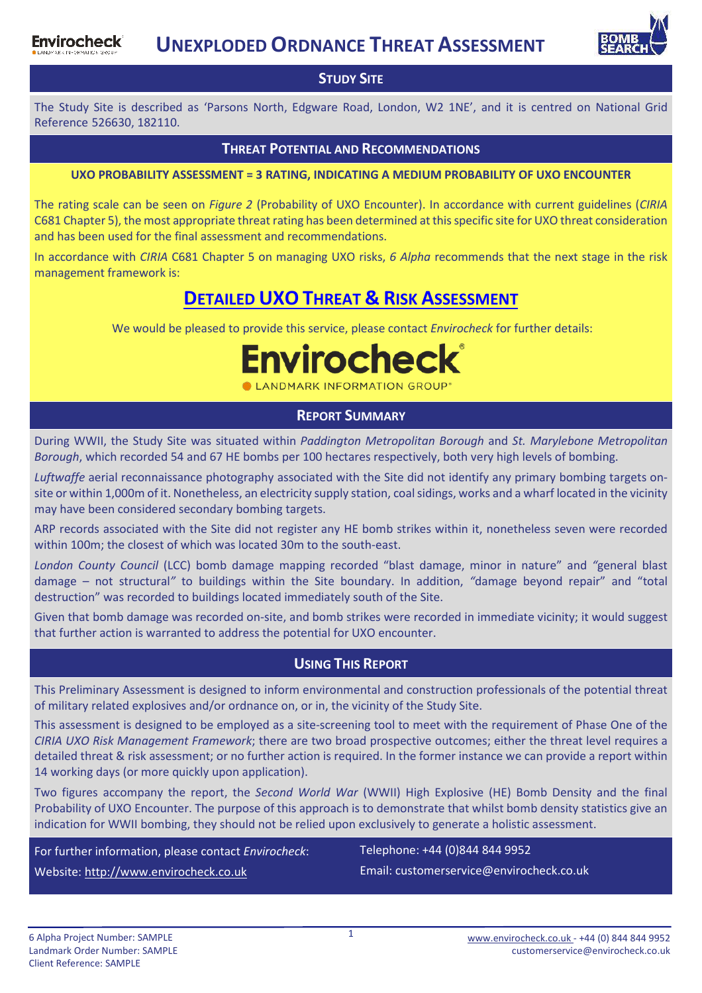

### **STUDY SITE**

The Study Site is described as 'Parsons North, Edgware Road, London, W2 1NE', and it is centred on National Grid Reference 526630, 182110.

#### **THREAT POTENTIAL AND RECOMMENDATIONS**

#### **UXO PROBABILITY ASSESSMENT = 3 RATING, INDICATING A MEDIUM PROBABILITY OF UXO ENCOUNTER**

The rating scale can be seen on *Figure 2* (Probability of UXO Encounter). In accordance with current guidelines (*CIRIA* C681 Chapter 5), the most appropriate threat rating has been determined at this specific site for UXO threat consideration and has been used for the final assessment and recommendations.

In accordance with *CIRIA* C681 Chapter 5 on managing UXO risks, *6 Alpha* recommends that the next stage in the risk management framework is:

# **DETAILED UXO THREAT & RISK ASSESSMENT**

We would be pleased to provide this service, please contact *Envirocheck* for further details:

**Envirochecl** 

#### **REPORT SUMMARY**

During WWII, the Study Site was situated within *Paddington Metropolitan Borough* and *St. Marylebone Metropolitan Borough*, which recorded 54 and 67 HE bombs per 100 hectares respectively, both very high levels of bombing.

*Luftwaffe* aerial reconnaissance photography associated with the Site did not identify any primary bombing targets onsite or within 1,000m of it. Nonetheless, an electricity supply station, coal sidings, works and a wharf located in the vicinity may have been considered secondary bombing targets.

ARP records associated with the Site did not register any HE bomb strikes within it, nonetheless seven were recorded within 100m; the closest of which was located 30m to the south-east.

*London County Council* (LCC) bomb damage mapping recorded "blast damage, minor in nature" and *"*general blast damage – not structural*"* to buildings within the Site boundary. In addition, *"*damage beyond repair" and "total destruction" was recorded to buildings located immediately south of the Site.

Given that bomb damage was recorded on-site, and bomb strikes were recorded in immediate vicinity; it would suggest that further action is warranted to address the potential for UXO encounter.

#### **USING THIS REPORT**

This Preliminary Assessment is designed to inform environmental and construction professionals of the potential threat of military related explosives and/or ordnance on, or in, the vicinity of the Study Site.

This assessment is designed to be employed as a site-screening tool to meet with the requirement of Phase One of the *CIRIA UXO Risk Management Framework*; there are two broad prospective outcomes; either the threat level requires a detailed threat & risk assessment; or no further action is required. In the former instance we can provide a report within 14 working days (or more quickly upon application).

Two figures accompany the report, the *Second World War* (WWII) High Explosive (HE) Bomb Density and the final Probability of UXO Encounter. The purpose of this approach is to demonstrate that whilst bomb density statistics give an indication for WWII bombing, they should not be relied upon exclusively to generate a holistic assessment.

For further information, please contact *Envirocheck*:

Telephone: +44 (0)844 844 9952 Email: customerservice@envirocheck.co.uk

Website: http://www.envirocheck.co.uk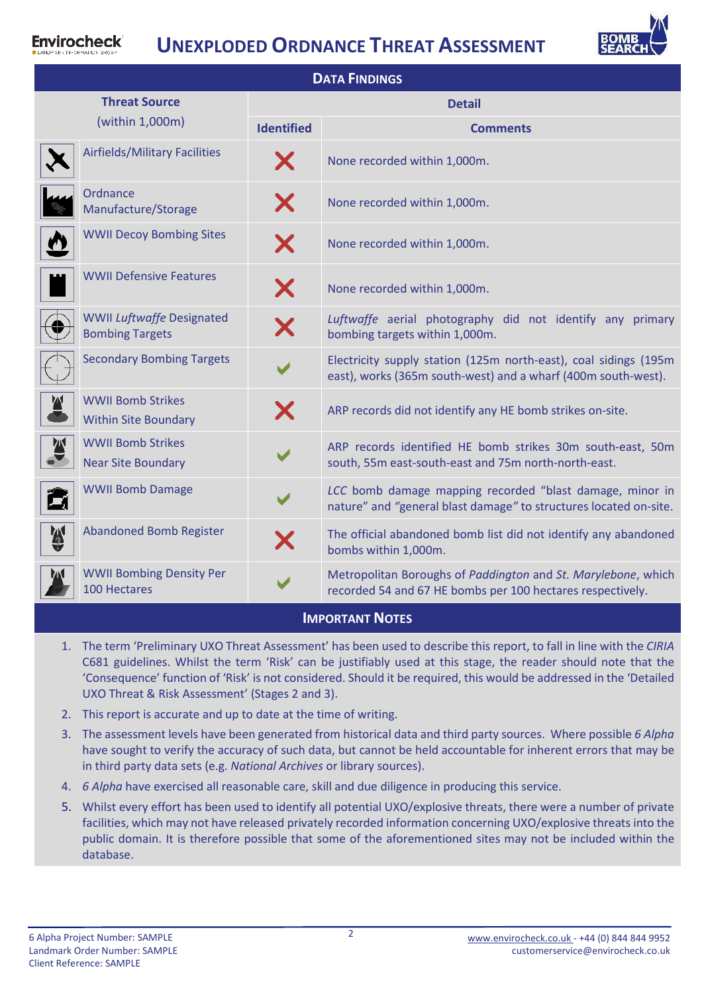#### Envirocheck **UNEXPLODED ORDNANCE THREAT ASSESSMENT**



| <b>DATA FINDINGS</b>                    |                                                            |                   |                                                                                                                                   |  |
|-----------------------------------------|------------------------------------------------------------|-------------------|-----------------------------------------------------------------------------------------------------------------------------------|--|
| <b>Threat Source</b><br>(within 1,000m) |                                                            | <b>Detail</b>     |                                                                                                                                   |  |
|                                         |                                                            | <b>Identified</b> | <b>Comments</b>                                                                                                                   |  |
|                                         | <b>Airfields/Military Facilities</b>                       | X                 | None recorded within 1,000m.                                                                                                      |  |
|                                         | Ordnance<br>Manufacture/Storage                            | X                 | None recorded within 1,000m.                                                                                                      |  |
|                                         | <b>WWII Decoy Bombing Sites</b>                            | X                 | None recorded within 1,000m.                                                                                                      |  |
|                                         | <b>WWII Defensive Features</b>                             | X                 | None recorded within 1,000m.                                                                                                      |  |
|                                         | <b>WWII Luftwaffe Designated</b><br><b>Bombing Targets</b> | X                 | Luftwaffe aerial photography did not identify any primary<br>bombing targets within 1,000m.                                       |  |
|                                         | <b>Secondary Bombing Targets</b>                           |                   | Electricity supply station (125m north-east), coal sidings (195m<br>east), works (365m south-west) and a wharf (400m south-west). |  |
|                                         | <b>WWII Bomb Strikes</b><br><b>Within Site Boundary</b>    | X                 | ARP records did not identify any HE bomb strikes on-site.                                                                         |  |
|                                         | <b>WWII Bomb Strikes</b><br><b>Near Site Boundary</b>      |                   | ARP records identified HE bomb strikes 30m south-east, 50m<br>south, 55m east-south-east and 75m north-north-east.                |  |
| E                                       | <b>WWII Bomb Damage</b>                                    |                   | LCC bomb damage mapping recorded "blast damage, minor in<br>nature" and "general blast damage" to structures located on-site.     |  |
| ₩                                       | <b>Abandoned Bomb Register</b>                             |                   | The official abandoned bomb list did not identify any abandoned<br>bombs within 1,000m.                                           |  |
|                                         | <b>WWII Bombing Density Per</b><br>100 Hectares            |                   | Metropolitan Boroughs of Paddington and St. Marylebone, which<br>recorded 54 and 67 HE bombs per 100 hectares respectively.       |  |
| <b>IMPORTANT NOTES</b>                  |                                                            |                   |                                                                                                                                   |  |

- 1. The term 'Preliminary UXO Threat Assessment' has been used to describe this report, to fall in line with the *CIRIA* C681 guidelines. Whilst the term 'Risk' can be justifiably used at this stage, the reader should note that the 'Consequence' function of 'Risk' is not considered. Should it be required, this would be addressed in the 'Detailed UXO Threat & Risk Assessment' (Stages 2 and 3).
- 2. This report is accurate and up to date at the time of writing.
- 3. The assessment levels have been generated from historical data and third party sources. Where possible *6 Alpha* have sought to verify the accuracy of such data, but cannot be held accountable for inherent errors that may be in third party data sets (e.g. *National Archives* or library sources).
- 4. *6 Alpha* have exercised all reasonable care, skill and due diligence in producing this service.
- 5. Whilst every effort has been used to identify all potential UXO/explosive threats, there were a number of private facilities, which may not have released privately recorded information concerning UXO/explosive threats into the public domain. It is therefore possible that some of the aforementioned sites may not be included within the database.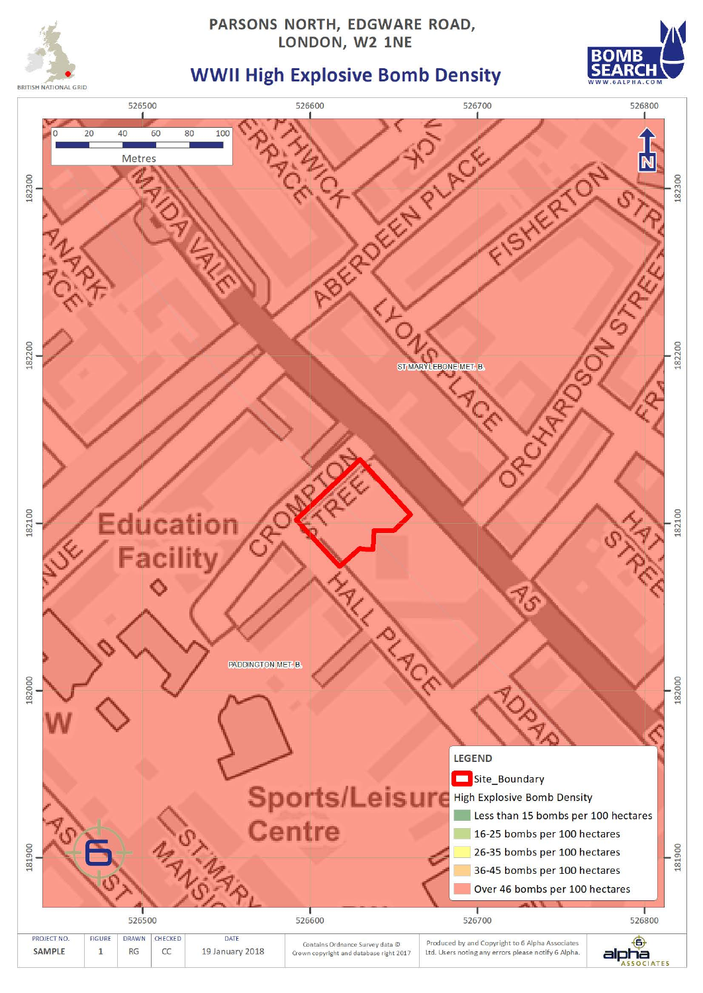

## PARSONS NORTH, EDGWARE ROAD, LONDON, W2 1NE



# **WWII High Explosive Bomb Density**